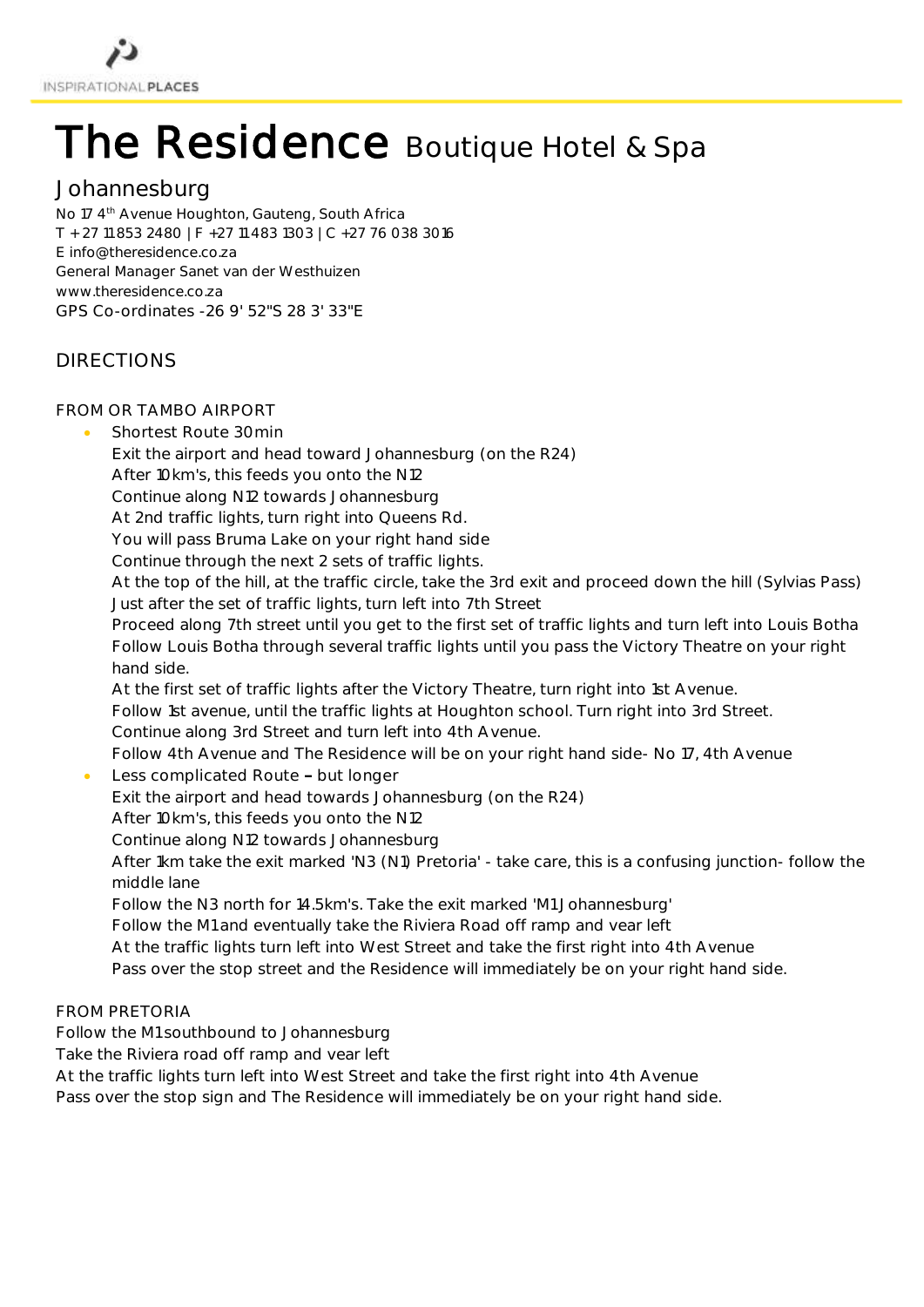

# The Residence Boutique Hotel & Spa

## Johannesburg

No 17 4<sup>th</sup> Avenue Houghton, Gauteng, South Africa T + 27 11 853 2480 | F +27 11 483 1303 | C +27 76 038 3016 E [info@theresidence.co.za](mailto:info@theresidence.co.za) General Manager Sanet van der Westhuizen [www.theresidence.co.za](http://www.theresidence.co.za/) GPS Co-ordinates -26 9' 52"S 28 3' 33"E

## DIRECTIONS

### FROM OR TAMBO AIRPORT

- Shortest Route 30min
	- Exit the airport and head toward Johannesburg (on the R24)
	- After 10km's, this feeds you onto the N12
	- Continue along N12 towards Johannesburg
	- At 2nd traffic lights, turn right into Queens Rd.
	- You will pass Bruma Lake on your right hand side
	- Continue through the next 2 sets of traffic lights.
	- At the top of the hill, at the traffic circle, take the 3rd exit and proceed down the hill (Sylvias Pass) Just after the set of traffic lights, turn left into 7th Street
	- Proceed along 7th street until you get to the first set of traffic lights and turn left into Louis Botha Follow Louis Botha through several traffic lights until you pass the Victory Theatre on your right hand side.
	- At the first set of traffic lights after the Victory Theatre, turn right into 1st Avenue. Follow 1st avenue, until the traffic lights at Houghton school. Turn right into 3rd Street. Continue along 3rd Street and turn left into 4th Avenue.
	- Follow 4th Avenue and The Residence will be on your right hand side- No 17, 4th Avenue
- Less complicated Route but longer
	- Exit the airport and head towards Johannesburg (on the R24)
	- After 10km's, this feeds you onto the N12
	- Continue along N12 towards Johannesburg
	- After 1km take the exit marked 'N3 (N1) Pretoria' take care, this is a confusing junction- follow the middle lane
	- Follow the N3 north for 14.5km's. Take the exit marked 'M1 Johannesburg'
	- Follow the M1 and eventually take the Riviera Road off ramp and vear left
	- At the traffic lights turn left into West Street and take the first right into 4th Avenue
	- Pass over the stop street and the Residence will immediately be on your right hand side.

### FROM PRETORIA

- Follow the M1 southbound to Johannesburg
- Take the Riviera road off ramp and vear left
- At the traffic lights turn left into West Street and take the first right into 4th Avenue
- Pass over the stop sign and The Residence will immediately be on your right hand side.